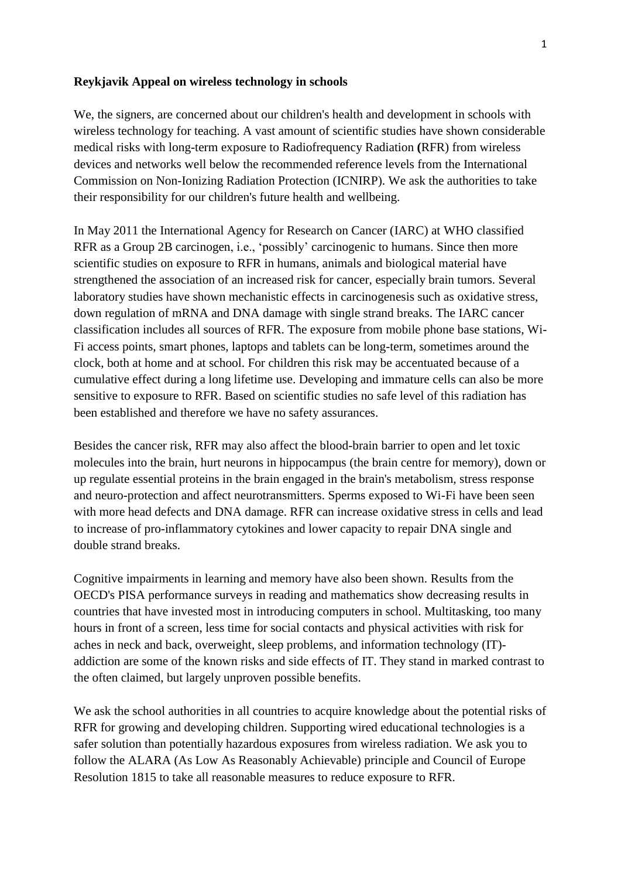### **Reykjavik Appeal on wireless technology in schools**

We, the signers, are concerned about our children's health and development in schools with wireless technology for teaching. A vast amount of scientific studies have shown considerable medical risks with long-term exposure to Radiofrequency Radiation **(**RFR) from wireless devices and networks well below the recommended reference levels from the International Commission on Non-Ionizing Radiation Protection (ICNIRP). We ask the authorities to take their responsibility for our children's future health and wellbeing.

In May 2011 the International Agency for Research on Cancer (IARC) at WHO classified RFR as a Group 2B carcinogen, i.e., 'possibly' carcinogenic to humans. Since then more scientific studies on exposure to RFR in humans, animals and biological material have strengthened the association of an increased risk for cancer, especially brain tumors. Several laboratory studies have shown mechanistic effects in carcinogenesis such as oxidative stress, down regulation of mRNA and DNA damage with single strand breaks. The IARC cancer classification includes all sources of RFR. The exposure from mobile phone base stations, Wi-Fi access points, smart phones, laptops and tablets can be long-term, sometimes around the clock, both at home and at school. For children this risk may be accentuated because of a cumulative effect during a long lifetime use. Developing and immature cells can also be more sensitive to exposure to RFR. Based on scientific studies no safe level of this radiation has been established and therefore we have no safety assurances.

Besides the cancer risk, RFR may also affect the blood-brain barrier to open and let toxic molecules into the brain, hurt neurons in hippocampus (the brain centre for memory), down or up regulate essential proteins in the brain engaged in the brain's metabolism, stress response and neuro-protection and affect neurotransmitters. Sperms exposed to Wi-Fi have been seen with more head defects and DNA damage. RFR can increase oxidative stress in cells and lead to increase of pro-inflammatory cytokines and lower capacity to repair DNA single and double strand breaks.

Cognitive impairments in learning and memory have also been shown. Results from the OECD's PISA performance surveys in reading and mathematics show decreasing results in countries that have invested most in introducing computers in school. Multitasking, too many hours in front of a screen, less time for social contacts and physical activities with risk for aches in neck and back, overweight, sleep problems, and information technology (IT) addiction are some of the known risks and side effects of IT. They stand in marked contrast to the often claimed, but largely unproven possible benefits.

We ask the school authorities in all countries to acquire knowledge about the potential risks of RFR for growing and developing children. Supporting wired educational technologies is a safer solution than potentially hazardous exposures from wireless radiation. We ask you to follow the ALARA (As Low As Reasonably Achievable) principle and Council of Europe Resolution 1815 to take all reasonable measures to reduce exposure to RFR.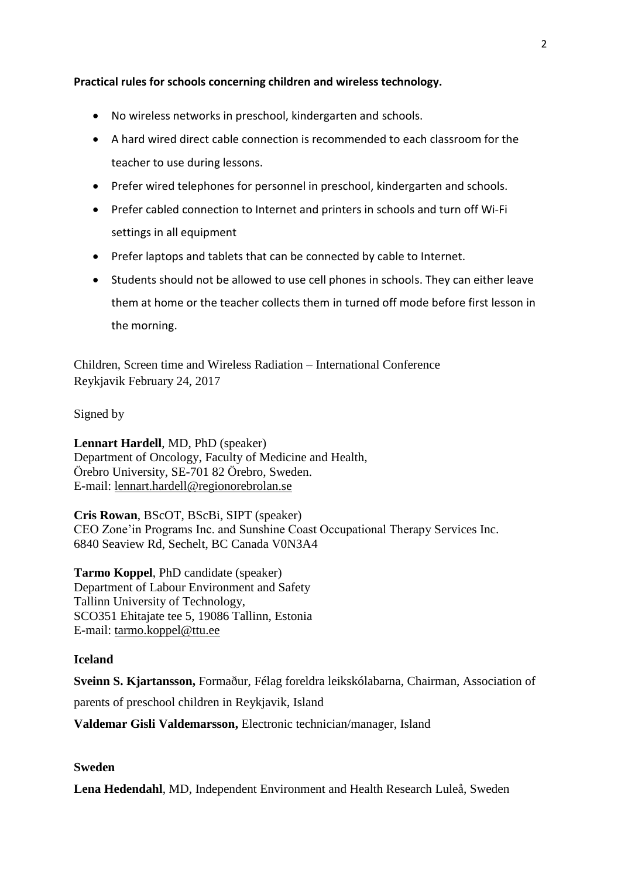# **Practical rules for schools concerning children and wireless technology.**

- No wireless networks in preschool, kindergarten and schools.
- A hard wired direct cable connection is recommended to each classroom for the teacher to use during lessons.
- Prefer wired telephones for personnel in preschool, kindergarten and schools.
- Prefer cabled connection to Internet and printers in schools and turn off Wi-Fi settings in all equipment
- Prefer laptops and tablets that can be connected by cable to Internet.
- Students should not be allowed to use cell phones in schools. They can either leave them at home or the teacher collects them in turned off mode before first lesson in the morning.

Children, Screen time and Wireless Radiation – International Conference Reykjavik February 24, 2017

# Signed by

**Lennart Hardell**, MD, PhD (speaker) Department of Oncology, Faculty of Medicine and Health, Örebro University, SE-701 82 Örebro, Sweden. E-mail: [lennart.hardell@regionorebrolan.se](mailto:lennart.hardell@regionorebrolan.se)

**Cris Rowan**, BScOT, BScBi, SIPT (speaker) CEO Zone'in Programs Inc. and Sunshine Coast Occupational Therapy Services Inc. 6840 Seaview Rd, Sechelt, BC Canada V0N3A4

**Tarmo Koppel**, PhD candidate (speaker) Department of Labour Environment and Safety Tallinn University of Technology, SCO351 Ehitajate tee 5, 19086 Tallinn, Estonia E-mail: tarmo.koppel@ttu.ee

# **Iceland**

**Sveinn S. Kjartansson,** Formaður, Félag foreldra leikskólabarna, Chairman, Association of

parents of preschool children in Reykjavik, Island

**Valdemar Gisli Valdemarsson,** Electronic technician/manager, Island

# **Sweden**

**Lena Hedendahl**, MD, Independent Environment and Health Research Luleå, Sweden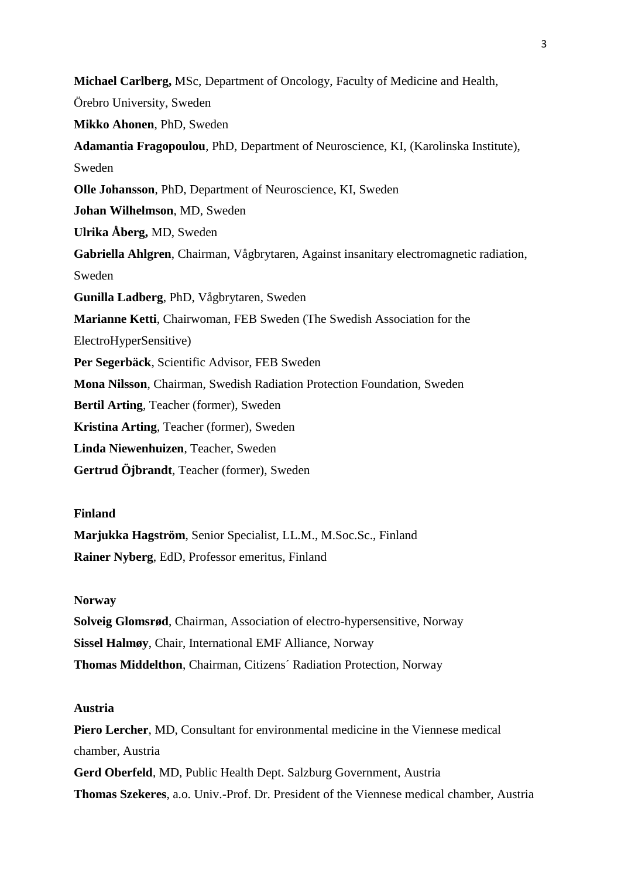**Michael Carlberg,** MSc, Department of Oncology, Faculty of Medicine and Health, Örebro University, Sweden **Mikko Ahonen**, PhD, Sweden **Adamantia Fragopoulou**, PhD, Department of Neuroscience, KI, (Karolinska Institute), Sweden **Olle Johansson**, PhD, Department of Neuroscience, KI, Sweden **Johan Wilhelmson**, MD, Sweden **Ulrika Åberg,** MD, Sweden **Gabriella Ahlgren**, Chairman, Vågbrytaren, Against insanitary electromagnetic radiation, Sweden **Gunilla Ladberg**, PhD, Vågbrytaren, Sweden **Marianne Ketti**, Chairwoman, FEB Sweden (The Swedish Association for the ElectroHyperSensitive) **Per Segerbäck**, Scientific Advisor, FEB Sweden **Mona Nilsson**, Chairman, Swedish Radiation Protection Foundation, Sweden **Bertil Arting**, Teacher (former), Sweden **Kristina Arting**, Teacher (former), Sweden **Linda Niewenhuizen**, Teacher, Sweden **Gertrud Öjbrandt**, Teacher (former), Sweden

## **Finland**

**Marjukka Hagström**, Senior Specialist, LL.M., M.Soc.Sc., Finland **Rainer Nyberg**, EdD, Professor emeritus, Finland

## **Norway**

**Solveig Glomsrød**, Chairman, Association of electro-hypersensitive, Norway **Sissel Halmøy**, Chair, International EMF Alliance, Norway **Thomas Middelthon**, Chairman, Citizens´ Radiation Protection, Norway

# **Austria**

**Piero Lercher**, MD, Consultant for environmental medicine in the Viennese medical chamber, Austria **Gerd Oberfeld**, MD, Public Health Dept. Salzburg Government, Austria **Thomas Szekeres**, a.o. Univ.-Prof. Dr. President of the Viennese medical chamber, Austria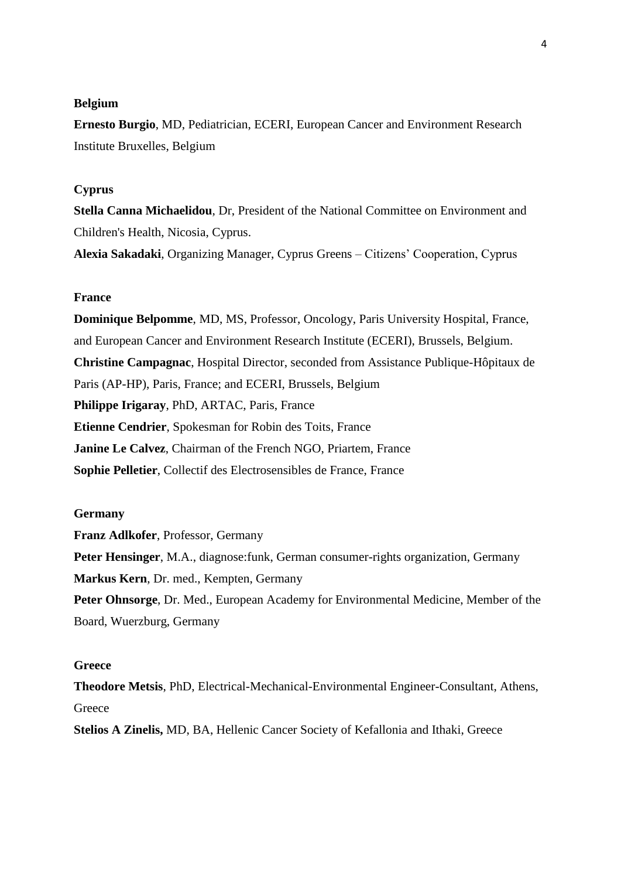## **Belgium**

**Ernesto Burgio**, MD, Pediatrician, ECERI, European Cancer and Environment Research Institute Bruxelles, Belgium

## **Cyprus**

**Stella Canna Michaelidou**, Dr, President of the National Committee on Environment and Children's Health, Nicosia, Cyprus.

**Alexia Sakadaki**, Organizing Manager, Cyprus Greens – Citizens' Cooperation, Cyprus

### **France**

**Dominique Belpomme**, MD, MS, Professor, Oncology, Paris University Hospital, France, and European Cancer and Environment Research Institute (ECERI), Brussels, Belgium. **Christine Campagnac**, Hospital Director, seconded from Assistance Publique-Hôpitaux de Paris (AP-HP), Paris, France; and ECERI, Brussels, Belgium **Philippe Irigaray**, PhD, ARTAC, Paris, France **Etienne Cendrier**, Spokesman for Robin des Toits, France **Janine Le Calvez**, Chairman of the French NGO, Priartem, France **Sophie Pelletier**, Collectif des Electrosensibles de France, France

## **Germany**

**Franz Adlkofer**, Professor, Germany **Peter Hensinger**, M.A., diagnose:funk, German consumer-rights organization, Germany **Markus Kern**, Dr. med., Kempten, Germany **Peter Ohnsorge**, Dr. Med., European Academy for Environmental Medicine, Member of the Board, Wuerzburg, Germany

## **Greece**

**Theodore Metsis**, PhD, Electrical-Mechanical-Environmental Engineer-Consultant, Athens, **Greece** 

**Stelios A Zinelis,** MD, BA, Hellenic Cancer Society of Kefallonia and Ithaki, Greece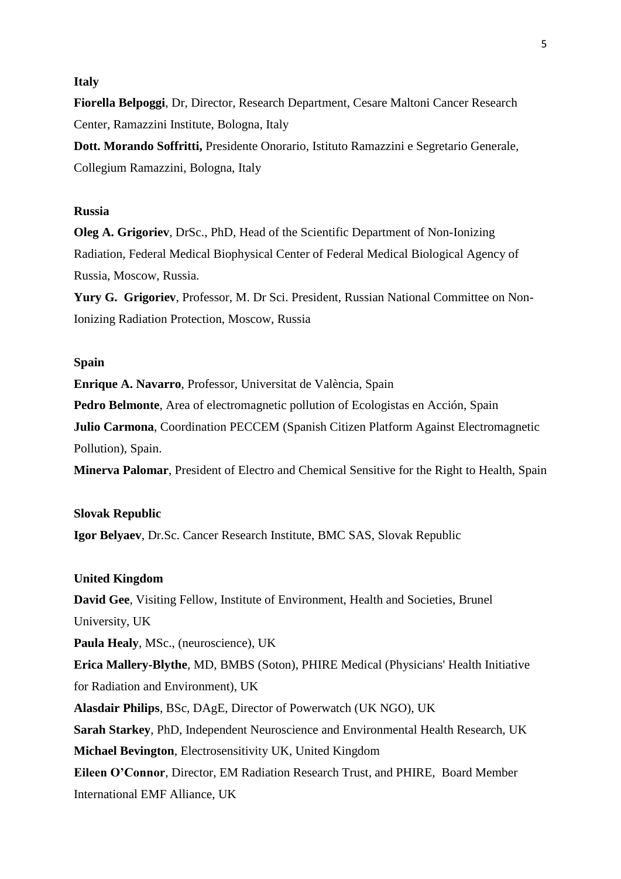## **Italy**

**Fiorella Belpoggi**, Dr, Director, Research Department, Cesare Maltoni Cancer Research Center, Ramazzini Institute, Bologna, Italy

**Dott. Morando Soffritti,** Presidente Onorario, Istituto Ramazzini e Segretario Generale, Collegium Ramazzini, Bologna, Italy

### **Russia**

**Oleg A. Grigoriev**, DrSc., PhD, Head of the Scientific Department of Non-Ionizing Radiation, Federal Medical Biophysical Center of Federal Medical Biological Agency of Russia, Moscow, Russia.

**Yury G. Grigoriev**, Professor, M. Dr Sci. President, Russian National Committee on Non-Ionizing Radiation Protection, Moscow, Russia

## **Spain**

**Enrique A. Navarro**, Professor, Universitat de València, Spain **Pedro Belmonte**, Area of electromagnetic pollution of Ecologistas en Acción, Spain **Julio Carmona**, Coordination PECCEM (Spanish Citizen Platform Against Electromagnetic Pollution), Spain.

**Minerva Palomar**, President of Electro and Chemical Sensitive for the Right to Health, Spain

## **Slovak Republic**

**Igor Belyaev**, Dr.Sc. Cancer Research Institute, BMC SAS, Slovak Republic

### **United Kingdom**

**David Gee**, Visiting Fellow, Institute of Environment, Health and Societies, Brunel University, UK

**Paula Healy**, MSc., (neuroscience), UK

**Erica Mallery-Blythe**, MD, BMBS (Soton), PHIRE Medical (Physicians' Health Initiative for Radiation and Environment), UK

**Alasdair Philips**, BSc, DAgE, Director of Powerwatch (UK NGO), UK

**Sarah Starkey**, PhD, Independent Neuroscience and Environmental Health Research, UK **Michael Bevington**, Electrosensitivity UK, United Kingdom

**Eileen O'Connor**, Director, EM Radiation Research Trust, and PHIRE, Board Member International EMF Alliance, UK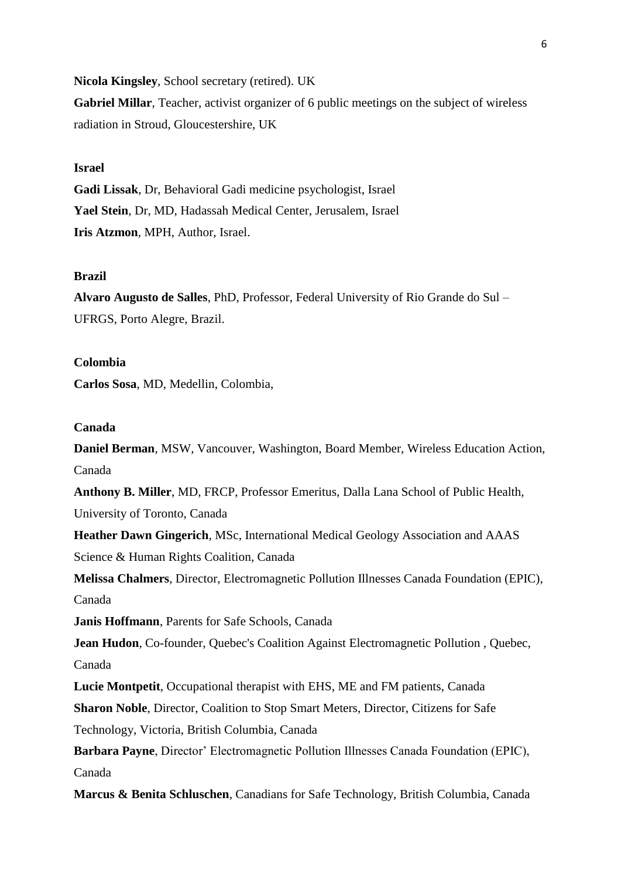**Nicola Kingsley**, School secretary (retired). UK

**Gabriel Millar**, Teacher, activist organizer of 6 public meetings on the subject of wireless radiation in Stroud, Gloucestershire, UK

# **Israel**

**Gadi Lissak**, Dr, Behavioral Gadi medicine psychologist, Israel **Yael Stein**, Dr, MD, Hadassah Medical Center, Jerusalem, Israel **Iris Atzmon**, MPH, Author, Israel.

## **Brazil**

**Alvaro Augusto de Salles**, PhD, Professor, Federal University of Rio Grande do Sul – UFRGS, Porto Alegre, Brazil.

## **Colombia**

**Carlos Sosa**, MD, Medellin, Colombia,

### **Canada**

**Daniel Berman**, MSW, Vancouver, Washington, Board Member, Wireless Education Action, Canada

**Anthony B. Miller**, MD, FRCP, Professor Emeritus, Dalla Lana School of Public Health, University of Toronto, Canada

**Heather Dawn Gingerich**, MSc, International Medical Geology Association and AAAS Science & Human Rights Coalition, Canada

**Melissa Chalmers**, Director, Electromagnetic Pollution Illnesses Canada Foundation (EPIC), Canada

**Janis Hoffmann**, Parents for Safe Schools, Canada

**Jean Hudon**, Co-founder, Quebec's Coalition Against Electromagnetic Pollution , Quebec, Canada

**Lucie Montpetit**, Occupational therapist with EHS, ME and FM patients, Canada

**Sharon Noble**, Director, Coalition to Stop Smart Meters, Director, Citizens for Safe Technology, Victoria, British Columbia, Canada

**Barbara Payne**, Director' Electromagnetic Pollution Illnesses Canada Foundation (EPIC), Canada

**Marcus & Benita Schluschen**, Canadians for Safe Technology, British Columbia, Canada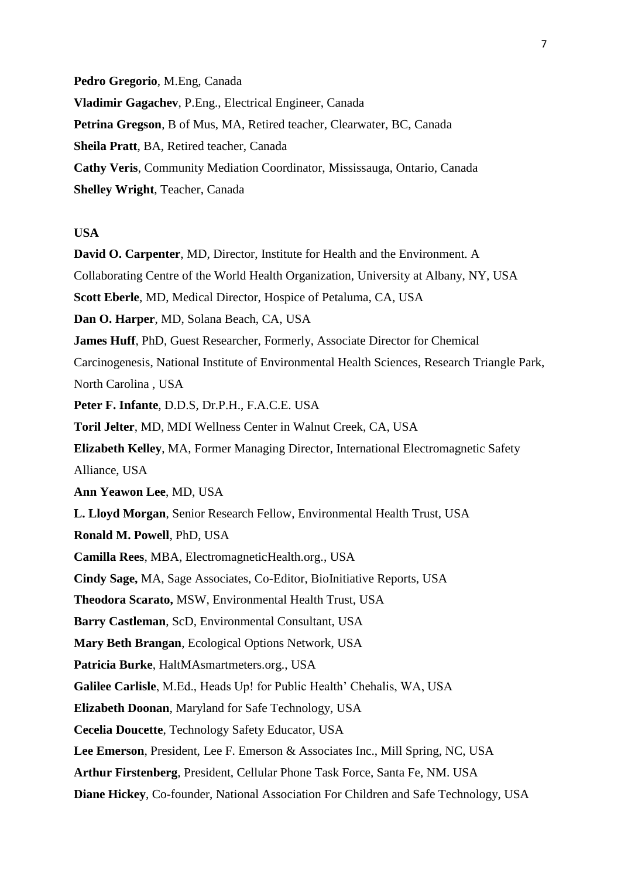**Pedro Gregorio**, M.Eng, Canada **Vladimir Gagachev**, P.Eng., Electrical Engineer, Canada **Petrina Gregson**, B of Mus, MA, Retired teacher, Clearwater, BC, Canada **Sheila Pratt**, BA, Retired teacher, Canada **Cathy Veris**, Community Mediation Coordinator, Mississauga, Ontario, Canada **Shelley Wright**, Teacher, Canada

## **USA**

**David O. Carpenter**, MD, Director, Institute for Health and the Environment. A Collaborating Centre of the World Health Organization, University at Albany, NY, USA **Scott Eberle**, MD, Medical Director, Hospice of Petaluma, CA, USA **Dan O. Harper**, MD, Solana Beach, CA, USA **James Huff**, PhD, Guest Researcher, Formerly, Associate Director for Chemical Carcinogenesis, National Institute of Environmental Health Sciences, Research Triangle Park, North Carolina , USA **Peter F. Infante**, D.D.S, Dr.P.H., F.A.C.E. USA **Toril Jelter**, MD, MDI Wellness Center in Walnut Creek, CA, USA **Elizabeth Kelley**, MA, Former Managing Director, International Electromagnetic Safety Alliance, USA **Ann Yeawon Lee**, MD, USA **L. Lloyd Morgan**, Senior Research Fellow, Environmental Health Trust, USA **Ronald M. Powell**, PhD, USA **Camilla Rees**, MBA, ElectromagneticHealth.org., USA **Cindy Sage,** MA, Sage Associates, Co-Editor, BioInitiative Reports, USA **Theodora Scarato,** MSW, Environmental Health Trust, USA **Barry Castleman**, ScD, Environmental Consultant, USA **Mary Beth Brangan**, Ecological Options Network, USA **Patricia Burke**, HaltMAsmartmeters.org., USA **Galilee Carlisle**, M.Ed., Heads Up! for Public Health' Chehalis, WA, USA **Elizabeth Doonan**, Maryland for Safe Technology, USA **Cecelia Doucette**, Technology Safety Educator, USA **Lee Emerson**, President, Lee F. Emerson & Associates Inc., Mill Spring, NC, USA **Arthur Firstenberg**, President, Cellular Phone Task Force, Santa Fe, NM. USA **Diane Hickey**, Co-founder, National Association For Children and Safe Technology, USA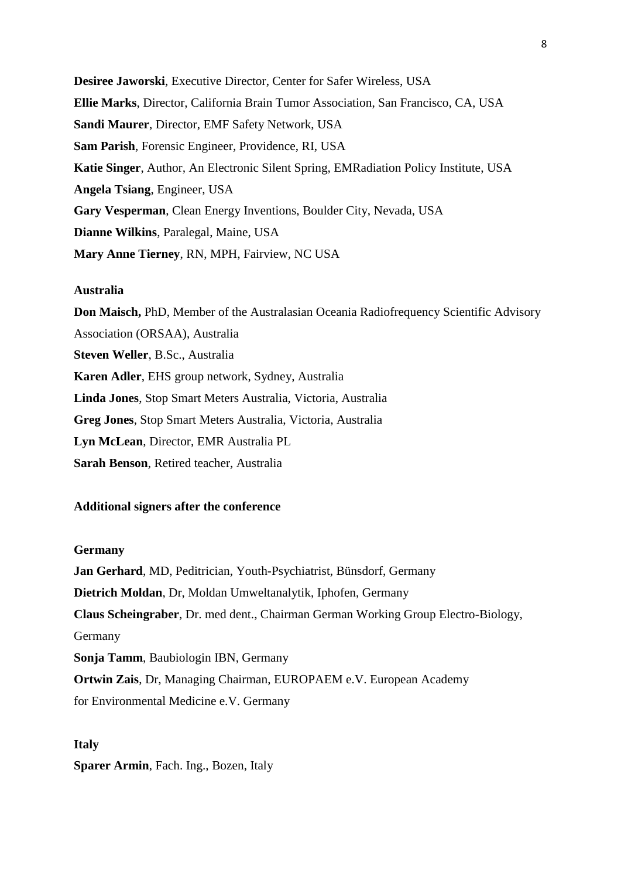**Desiree Jaworski**, Executive Director, Center for Safer Wireless, USA **Ellie Marks**, Director, California Brain Tumor Association, San Francisco, CA, USA **Sandi Maurer**, Director, EMF Safety Network, USA **Sam Parish**, Forensic Engineer, Providence, RI, USA **Katie Singer**, Author*,* An Electronic Silent Spring*,* EMRadiation Policy Institute, USA **Angela Tsiang**, Engineer, USA **Gary Vesperman**, Clean Energy Inventions, Boulder City, Nevada, USA **Dianne Wilkins**, Paralegal, Maine, USA **Mary Anne Tierney**, RN, MPH, Fairview, NC USA

### **Australia**

**Don Maisch,** PhD, Member of the Australasian Oceania Radiofrequency Scientific Advisory Association (ORSAA), Australia **Steven Weller**, B.Sc., Australia **Karen Adler**, EHS group network, Sydney, Australia **Linda Jones**, Stop Smart Meters Australia, Victoria, Australia **Greg Jones**, Stop Smart Meters Australia, Victoria, Australia **Lyn McLean**, Director, EMR Australia PL **Sarah Benson**, Retired teacher, Australia

# **Additional signers after the conference**

#### **Germany**

**Jan Gerhard**, MD, Peditrician, Youth-Psychiatrist, Bünsdorf, Germany **Dietrich Moldan**, Dr, Moldan Umweltanalytik, Iphofen, Germany **Claus Scheingraber**, Dr. med dent., Chairman German Working Group Electro-Biology, Germany **Sonja Tamm**, Baubiologin IBN, Germany **Ortwin Zais**, Dr, Managing Chairman, EUROPAEM e.V. European Academy for Environmental Medicine e.V. Germany

#### **Italy**

**Sparer Armin**, Fach. Ing., Bozen, Italy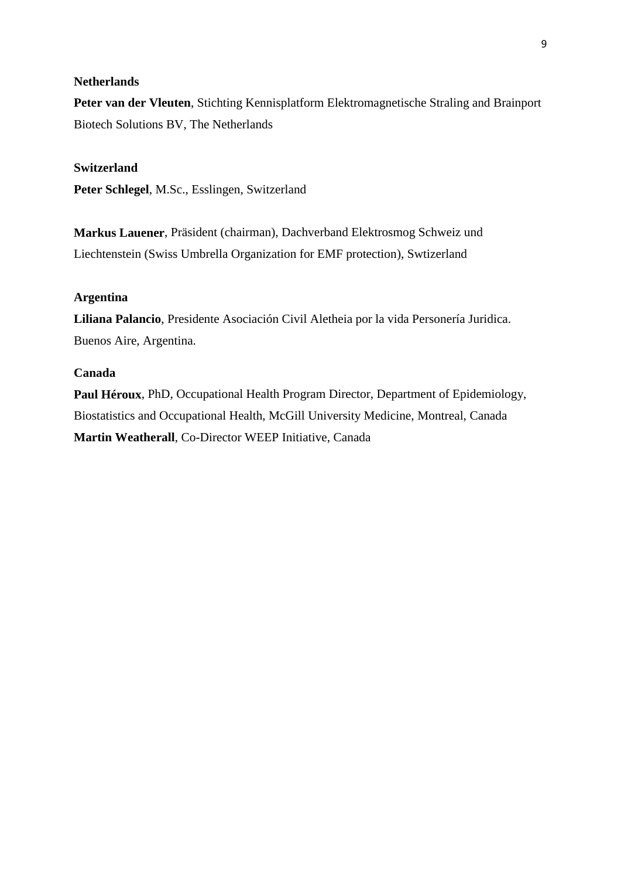# **Netherlands**

**Peter van der Vleuten**, Stichting Kennisplatform Elektromagnetische Straling and Brainport Biotech Solutions BV, The Netherlands

# **Switzerland**

**Peter Schlegel**, M.Sc., Esslingen, Switzerland

**Markus Lauener**, Präsident (chairman), Dachverband Elektrosmog Schweiz und Liechtenstein (Swiss Umbrella Organization for EMF protection), Swtizerland

# **Argentina**

**Liliana Palancio**, Presidente Asociación Civil Aletheia por la vida Personería Juridica. Buenos Aire, Argentina.

## **Canada**

**Paul Héroux**, PhD, Occupational Health Program Director, Department of Epidemiology, Biostatistics and Occupational Health, McGill University Medicine, Montreal, Canada **Martin Weatherall**, Co-Director WEEP Initiative, Canada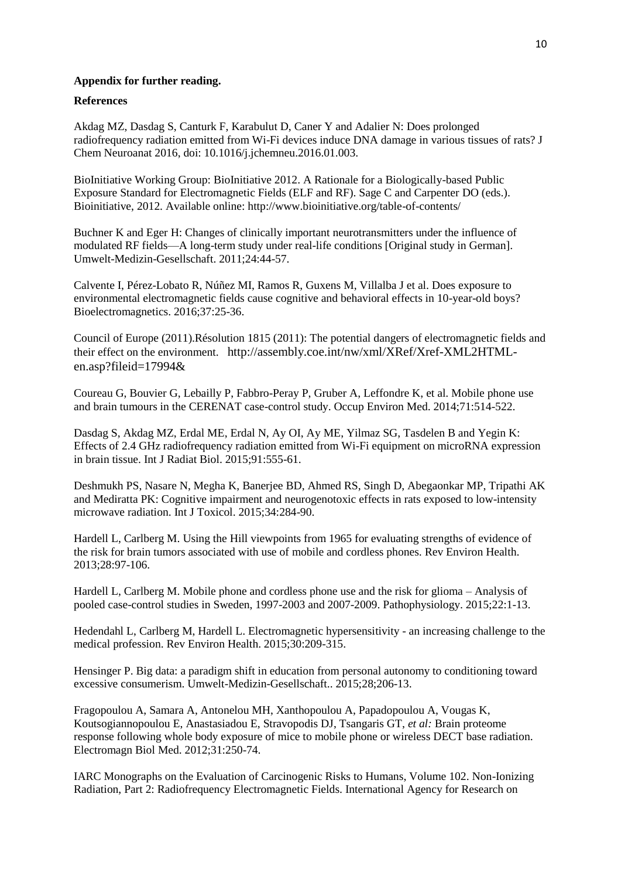### **Appendix for further reading.**

### **References**

Akdag MZ, Dasdag S, Canturk F, Karabulut D, Caner Y and Adalier N: Does prolonged radiofrequency radiation emitted from Wi-Fi devices induce DNA damage in various tissues of rats? J Chem Neuroanat 2016, doi: 10.1016/j.jchemneu.2016.01.003.

BioInitiative Working Group: BioInitiative 2012. A Rationale for a Biologically-based Public Exposure Standard for Electromagnetic Fields (ELF and RF). Sage C and Carpenter DO (eds.). Bioinitiative, 2012. Available online: http://www.bioinitiative.org/table-of-contents/

Buchner K and Eger H: Changes of clinically important neurotransmitters under the influence of modulated RF fields—A long-term study under real-life conditions [Original study in German]. Umwelt-Medizin-Gesellschaft. 2011;24:44-57.

Calvente I, Pérez-Lobato R, Núñez MI, Ramos R, Guxens M, Villalba J et al. Does exposure to environmental electromagnetic fields cause cognitive and behavioral effects in 10-year-old boys? Bioelectromagnetics. 2016;37:25-36.

Council of Europe (2011).Résolution 1815 (2011): The potential dangers of electromagnetic fields and their effect on the environment. http://assembly.coe.int/nw/xml/XRef/Xref-XML2HTMLen.asp?fileid=17994&

Coureau G, Bouvier G, Lebailly P, Fabbro-Peray P, Gruber A, Leffondre K, et al. Mobile phone use and brain tumours in the CERENAT case-control study. Occup Environ Med. 2014;71:514-522.

Dasdag S, Akdag MZ, Erdal ME, Erdal N, Ay OI, Ay ME, Yilmaz SG, Tasdelen B and Yegin K: Effects of 2.4 GHz radiofrequency radiation emitted from Wi-Fi equipment on microRNA expression in brain tissue. Int J Radiat Biol. 2015;91:555-61.

Deshmukh PS, Nasare N, Megha K, Banerjee BD, Ahmed RS, Singh D, Abegaonkar MP, Tripathi AK and Mediratta PK: Cognitive impairment and neurogenotoxic effects in rats exposed to low-intensity microwave radiation. Int J Toxicol. 2015;34:284-90.

Hardell L, Carlberg M. Using the Hill viewpoints from 1965 for evaluating strengths of evidence of the risk for brain tumors associated with use of mobile and cordless phones. Rev Environ Health. 2013;28:97-106.

Hardell L, Carlberg M. Mobile phone and cordless phone use and the risk for glioma – Analysis of pooled case-control studies in Sweden, 1997-2003 and 2007-2009. Pathophysiology. 2015;22:1-13.

Hedendahl L, Carlberg M, Hardell L. Electromagnetic hypersensitivity - an increasing challenge to the medical profession. Rev Environ Health. 2015;30:209-315.

Hensinger P. Big data: a paradigm shift in education from personal autonomy to conditioning toward excessive consumerism. Umwelt-Medizin-Gesellschaft.. 2015;28;206-13.

Fragopoulou A, Samara A, Antonelou MH, Xanthopoulou A, Papadopoulou A, Vougas K, Koutsogiannopoulou E, Anastasiadou E, Stravopodis DJ, Tsangaris GT, *et al:* Brain proteome response following whole body exposure of mice to mobile phone or wireless DECT base radiation. Electromagn Biol Med. 2012;31:250-74.

IARC Monographs on the Evaluation of Carcinogenic Risks to Humans, Volume 102. Non-Ionizing Radiation, Part 2: Radiofrequency Electromagnetic Fields. International Agency for Research on